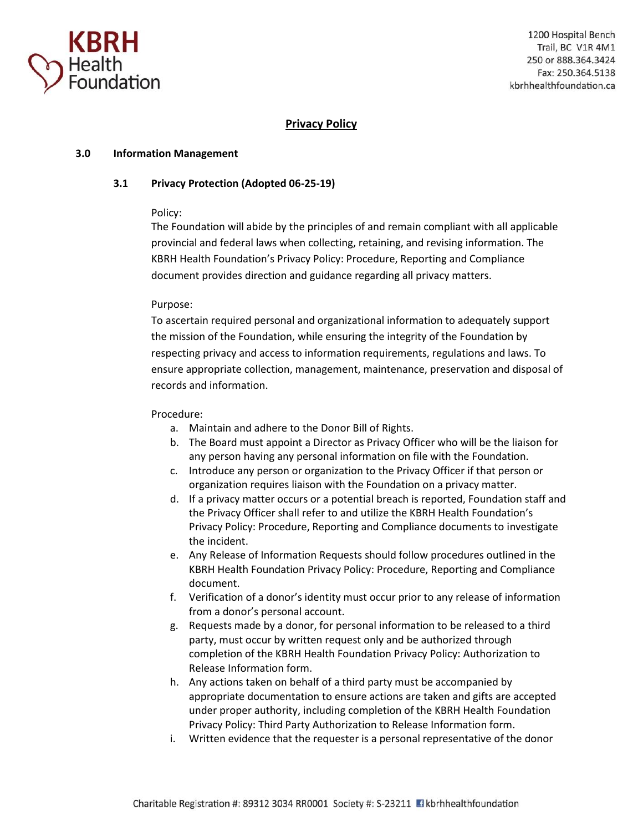

# **Privacy Policy**

### **3.0 Information Management**

### **3.1 Privacy Protection (Adopted 06-25-19)**

### Policy:

The Foundation will abide by the principles of and remain compliant with all applicable provincial and federal laws when collecting, retaining, and revising information. The KBRH Health Foundation's Privacy Policy: Procedure, Reporting and Compliance document provides direction and guidance regarding all privacy matters.

### Purpose:

To ascertain required personal and organizational information to adequately support the mission of the Foundation, while ensuring the integrity of the Foundation by respecting privacy and access to information requirements, regulations and laws. To ensure appropriate collection, management, maintenance, preservation and disposal of records and information.

#### Procedure:

- a. Maintain and adhere to the Donor Bill of Rights.
- b. The Board must appoint a Director as Privacy Officer who will be the liaison for any person having any personal information on file with the Foundation.
- c. Introduce any person or organization to the Privacy Officer if that person or organization requires liaison with the Foundation on a privacy matter.
- d. If a privacy matter occurs or a potential breach is reported, Foundation staff and the Privacy Officer shall refer to and utilize the KBRH Health Foundation's Privacy Policy: Procedure, Reporting and Compliance documents to investigate the incident.
- e. Any Release of Information Requests should follow procedures outlined in the KBRH Health Foundation Privacy Policy: Procedure, Reporting and Compliance document.
- f. Verification of a donor's identity must occur prior to any release of information from a donor's personal account.
- g. Requests made by a donor, for personal information to be released to a third party, must occur by written request only and be authorized through completion of the KBRH Health Foundation Privacy Policy: Authorization to Release Information form.
- h. Any actions taken on behalf of a third party must be accompanied by appropriate documentation to ensure actions are taken and gifts are accepted under proper authority, including completion of the KBRH Health Foundation Privacy Policy: Third Party Authorization to Release Information form.
- i. Written evidence that the requester is a personal representative of the donor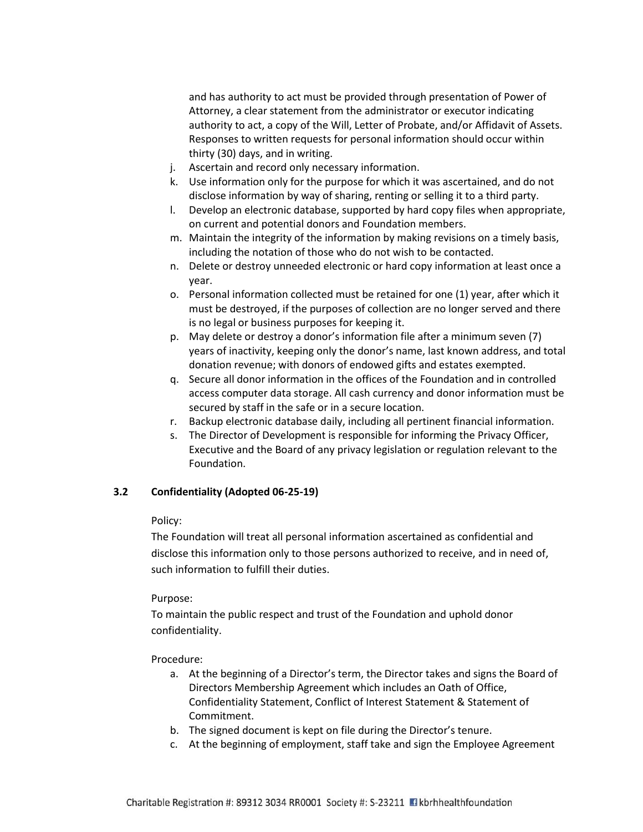and has authority to act must be provided through presentation of Power of Attorney, a clear statement from the administrator or executor indicating authority to act, a copy of the Will, Letter of Probate, and/or Affidavit of Assets. Responses to written requests for personal information should occur within thirty (30) days, and in writing.

- j. Ascertain and record only necessary information.
- k. Use information only for the purpose for which it was ascertained, and do not disclose information by way of sharing, renting or selling it to a third party.
- l. Develop an electronic database, supported by hard copy files when appropriate, on current and potential donors and Foundation members.
- m. Maintain the integrity of the information by making revisions on a timely basis, including the notation of those who do not wish to be contacted.
- n. Delete or destroy unneeded electronic or hard copy information at least once a year.
- o. Personal information collected must be retained for one (1) year, after which it must be destroyed, if the purposes of collection are no longer served and there is no legal or business purposes for keeping it.
- p. May delete or destroy a donor's information file after a minimum seven (7) years of inactivity, keeping only the donor's name, last known address, and total donation revenue; with donors of endowed gifts and estates exempted.
- q. Secure all donor information in the offices of the Foundation and in controlled access computer data storage. All cash currency and donor information must be secured by staff in the safe or in a secure location.
- r. Backup electronic database daily, including all pertinent financial information.
- s. The Director of Development is responsible for informing the Privacy Officer, Executive and the Board of any privacy legislation or regulation relevant to the Foundation.

#### **3.2 Confidentiality (Adopted 06-25-19)**

#### Policy:

The Foundation will treat all personal information ascertained as confidential and disclose this information only to those persons authorized to receive, and in need of, such information to fulfill their duties.

#### Purpose:

To maintain the public respect and trust of the Foundation and uphold donor confidentiality.

#### Procedure:

- a. At the beginning of a Director's term, the Director takes and signs the Board of Directors Membership Agreement which includes an Oath of Office, Confidentiality Statement, Conflict of Interest Statement & Statement of Commitment.
- b. The signed document is kept on file during the Director's tenure.
- c. At the beginning of employment, staff take and sign the Employee Agreement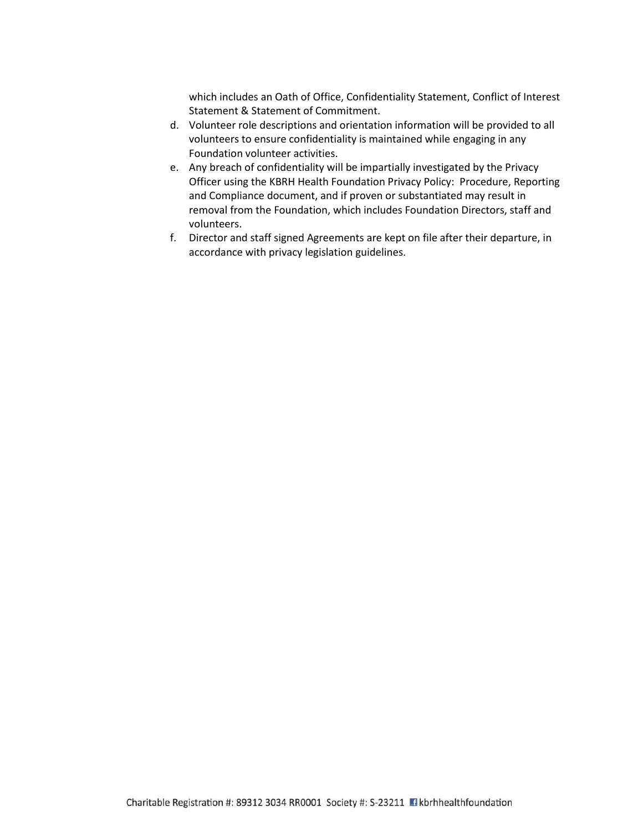which includes an Oath of Office, Confidentiality Statement, Conflict of Interest Statement & Statement of Commitment.

- d. Volunteer role descriptions and orientation information will be provided to all volunteers to ensure confidentiality is maintained while engaging in any Foundation volunteer activities.
- e. Any breach of confidentiality will be impartially investigated by the Privacy Officer using the KBRH Health Foundation Privacy Policy: Procedure, Reporting and Compliance document, and if proven or substantiated may result in removal from the Foundation, which includes Foundation Directors, staff and volunteers.
- f. Director and staff signed Agreements are kept on file after their departure, in accordance with privacy legislation guidelines.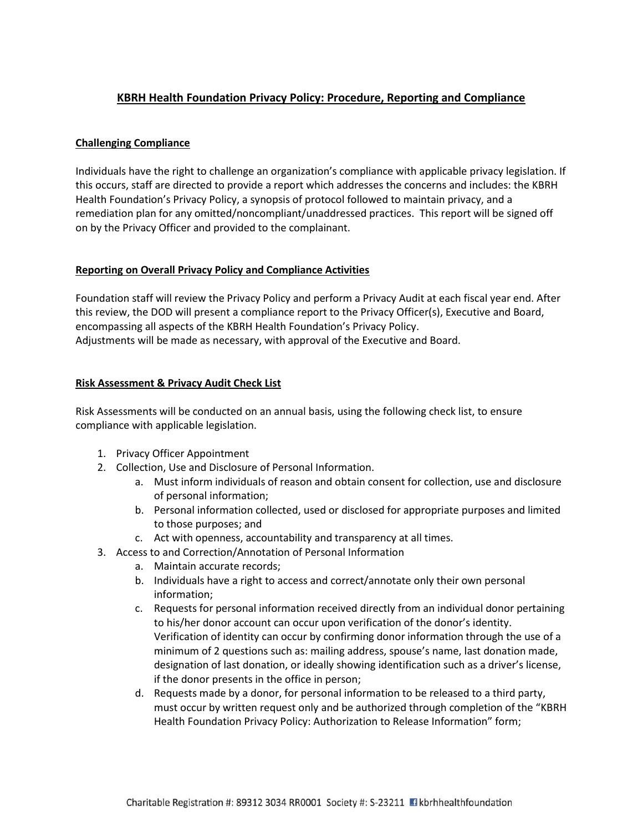# **KBRH Health Foundation Privacy Policy: Procedure, Reporting and Compliance**

### **Challenging Compliance**

Individuals have the right to challenge an organization's compliance with applicable privacy legislation. If this occurs, staff are directed to provide a report which addresses the concerns and includes: the KBRH Health Foundation's Privacy Policy, a synopsis of protocol followed to maintain privacy, and a remediation plan for any omitted/noncompliant/unaddressed practices. This report will be signed off on by the Privacy Officer and provided to the complainant.

### **Reporting on Overall Privacy Policy and Compliance Activities**

Foundation staff will review the Privacy Policy and perform a Privacy Audit at each fiscal year end. After this review, the DOD will present a compliance report to the Privacy Officer(s), Executive and Board, encompassing all aspects of the KBRH Health Foundation's Privacy Policy. Adjustments will be made as necessary, with approval of the Executive and Board.

# **Risk Assessment & Privacy Audit Check List**

Risk Assessments will be conducted on an annual basis, using the following check list, to ensure compliance with applicable legislation.

- 1. Privacy Officer Appointment
- 2. Collection, Use and Disclosure of Personal Information.
	- a. Must inform individuals of reason and obtain consent for collection, use and disclosure of personal information;
	- b. Personal information collected, used or disclosed for appropriate purposes and limited to those purposes; and
	- c. Act with openness, accountability and transparency at all times.
- 3. Access to and Correction/Annotation of Personal Information
	- a. Maintain accurate records;
	- b. Individuals have a right to access and correct/annotate only their own personal information;
	- c. Requests for personal information received directly from an individual donor pertaining to his/her donor account can occur upon verification of the donor's identity. Verification of identity can occur by confirming donor information through the use of a minimum of 2 questions such as: mailing address, spouse's name, last donation made, designation of last donation, or ideally showing identification such as a driver's license, if the donor presents in the office in person;
	- d. Requests made by a donor, for personal information to be released to a third party, must occur by written request only and be authorized through completion of the "KBRH Health Foundation Privacy Policy: Authorization to Release Information" form;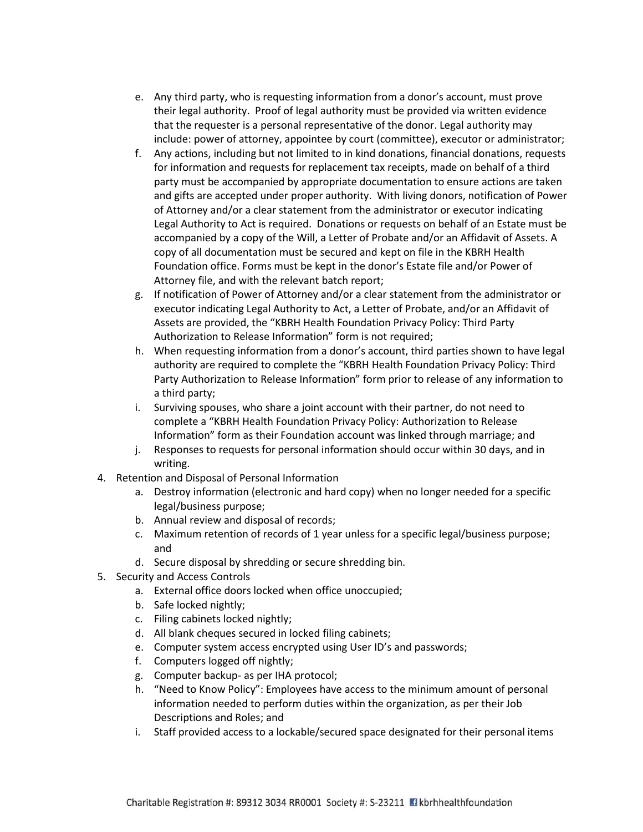- e. Any third party, who is requesting information from a donor's account, must prove their legal authority. Proof of legal authority must be provided via written evidence that the requester is a personal representative of the donor. Legal authority may include: power of attorney, appointee by court (committee), executor or administrator;
- f. Any actions, including but not limited to in kind donations, financial donations, requests for information and requests for replacement tax receipts, made on behalf of a third party must be accompanied by appropriate documentation to ensure actions are taken and gifts are accepted under proper authority. With living donors, notification of Power of Attorney and/or a clear statement from the administrator or executor indicating Legal Authority to Act is required. Donations or requests on behalf of an Estate must be accompanied by a copy of the Will, a Letter of Probate and/or an Affidavit of Assets. A copy of all documentation must be secured and kept on file in the KBRH Health Foundation office. Forms must be kept in the donor's Estate file and/or Power of Attorney file, and with the relevant batch report;
- g. If notification of Power of Attorney and/or a clear statement from the administrator or executor indicating Legal Authority to Act, a Letter of Probate, and/or an Affidavit of Assets are provided, the "KBRH Health Foundation Privacy Policy: Third Party Authorization to Release Information" form is not required;
- h. When requesting information from a donor's account, third parties shown to have legal authority are required to complete the "KBRH Health Foundation Privacy Policy: Third Party Authorization to Release Information" form prior to release of any information to a third party;
- i. Surviving spouses, who share a joint account with their partner, do not need to complete a "KBRH Health Foundation Privacy Policy: Authorization to Release Information" form as their Foundation account was linked through marriage; and
- j. Responses to requests for personal information should occur within 30 days, and in writing.
- 4. Retention and Disposal of Personal Information
	- a. Destroy information (electronic and hard copy) when no longer needed for a specific legal/business purpose;
	- b. Annual review and disposal of records;
	- c. Maximum retention of records of 1 year unless for a specific legal/business purpose; and
	- d. Secure disposal by shredding or secure shredding bin.
- 5. Security and Access Controls
	- a. External office doors locked when office unoccupied;
	- b. Safe locked nightly;
	- c. Filing cabinets locked nightly;
	- d. All blank cheques secured in locked filing cabinets;
	- e. Computer system access encrypted using User ID's and passwords;
	- f. Computers logged off nightly;
	- g. Computer backup- as per IHA protocol;
	- h. "Need to Know Policy": Employees have access to the minimum amount of personal information needed to perform duties within the organization, as per their Job Descriptions and Roles; and
	- i. Staff provided access to a lockable/secured space designated for their personal items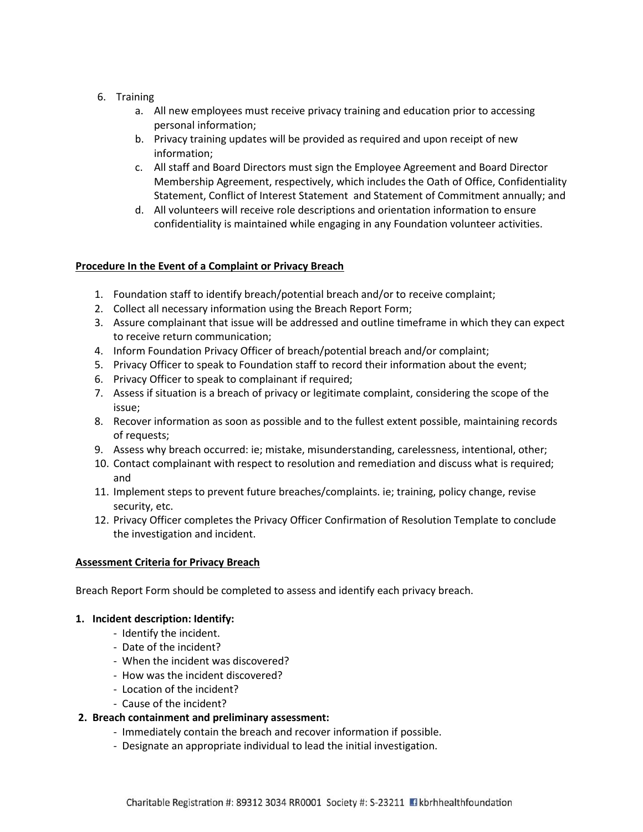# 6. Training

- a. All new employees must receive privacy training and education prior to accessing personal information;
- b. Privacy training updates will be provided as required and upon receipt of new information;
- c. All staff and Board Directors must sign the Employee Agreement and Board Director Membership Agreement, respectively, which includes the Oath of Office, Confidentiality Statement, Conflict of Interest Statement and Statement of Commitment annually; and
- d. All volunteers will receive role descriptions and orientation information to ensure confidentiality is maintained while engaging in any Foundation volunteer activities.

# **Procedure In the Event of a Complaint or Privacy Breach**

- 1. Foundation staff to identify breach/potential breach and/or to receive complaint;
- 2. Collect all necessary information using the Breach Report Form;
- 3. Assure complainant that issue will be addressed and outline timeframe in which they can expect to receive return communication;
- 4. Inform Foundation Privacy Officer of breach/potential breach and/or complaint;
- 5. Privacy Officer to speak to Foundation staff to record their information about the event;
- 6. Privacy Officer to speak to complainant if required;
- 7. Assess if situation is a breach of privacy or legitimate complaint, considering the scope of the issue;
- 8. Recover information as soon as possible and to the fullest extent possible, maintaining records of requests;
- 9. Assess why breach occurred: ie; mistake, misunderstanding, carelessness, intentional, other;
- 10. Contact complainant with respect to resolution and remediation and discuss what is required; and
- 11. Implement steps to prevent future breaches/complaints. ie; training, policy change, revise security, etc.
- 12. Privacy Officer completes the Privacy Officer Confirmation of Resolution Template to conclude the investigation and incident.

### **Assessment Criteria for Privacy Breach**

Breach Report Form should be completed to assess and identify each privacy breach.

### **1. Incident description: Identify:**

- Identify the incident.
- Date of the incident?
- When the incident was discovered?
- How was the incident discovered?
- Location of the incident?
- Cause of the incident?

### **2. Breach containment and preliminary assessment:**

- Immediately contain the breach and recover information if possible.
- Designate an appropriate individual to lead the initial investigation.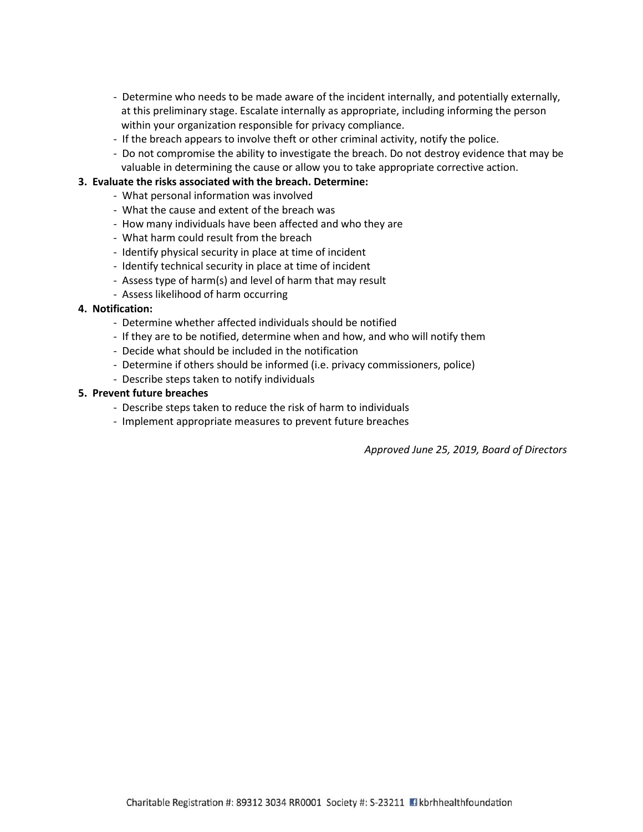- Determine who needs to be made aware of the incident internally, and potentially externally, at this preliminary stage. Escalate internally as appropriate, including informing the person within your organization responsible for privacy compliance.
- If the breach appears to involve theft or other criminal activity, notify the police.
- Do not compromise the ability to investigate the breach. Do not destroy evidence that may be valuable in determining the cause or allow you to take appropriate corrective action.

### **3. Evaluate the risks associated with the breach. Determine:**

- What personal information was involved
- What the cause and extent of the breach was
- How many individuals have been affected and who they are
- What harm could result from the breach
- Identify physical security in place at time of incident
- Identify technical security in place at time of incident
- Assess type of harm(s) and level of harm that may result
- Assess likelihood of harm occurring

### **4. Notification:**

- Determine whether affected individuals should be notified
- If they are to be notified, determine when and how, and who will notify them
- Decide what should be included in the notification
- Determine if others should be informed (i.e. privacy commissioners, police)
- Describe steps taken to notify individuals

#### **5. Prevent future breaches**

- Describe steps taken to reduce the risk of harm to individuals
- Implement appropriate measures to prevent future breaches

*Approved June 25, 2019, Board of Directors*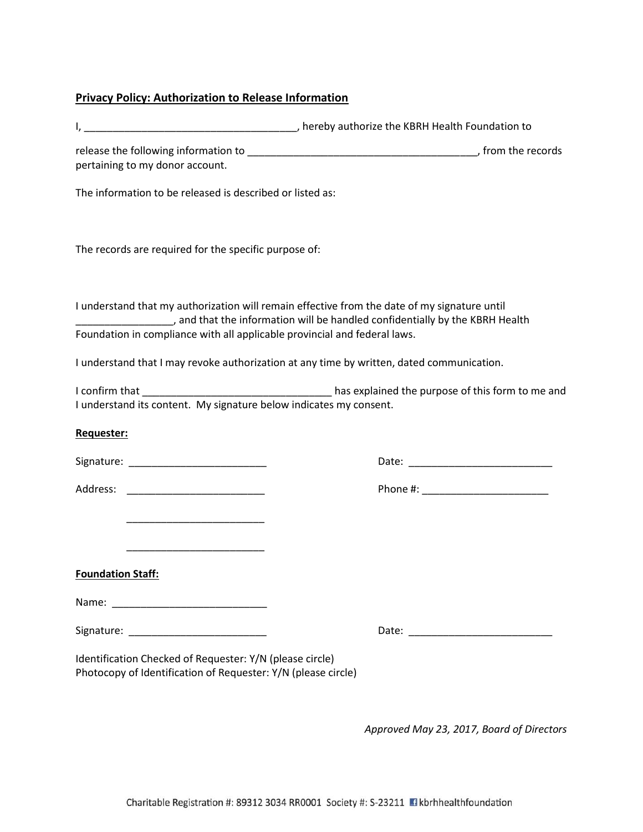# **Privacy Policy: Authorization to Release Information**

| pertaining to my donor account.                                                                                           |                                                                                                                                                                                                                                                                         |
|---------------------------------------------------------------------------------------------------------------------------|-------------------------------------------------------------------------------------------------------------------------------------------------------------------------------------------------------------------------------------------------------------------------|
| The information to be released is described or listed as:                                                                 |                                                                                                                                                                                                                                                                         |
| The records are required for the specific purpose of:                                                                     |                                                                                                                                                                                                                                                                         |
| Foundation in compliance with all applicable provincial and federal laws.                                                 | I understand that my authorization will remain effective from the date of my signature until<br>and that the information will be handled confidentially by the KBRH Health ended to hardward and that the information will be handled confidentially by the KBRH Health |
|                                                                                                                           | I understand that I may revoke authorization at any time by written, dated communication.                                                                                                                                                                               |
| I understand its content. My signature below indicates my consent.                                                        |                                                                                                                                                                                                                                                                         |
| Requester:                                                                                                                |                                                                                                                                                                                                                                                                         |
|                                                                                                                           |                                                                                                                                                                                                                                                                         |
|                                                                                                                           |                                                                                                                                                                                                                                                                         |
|                                                                                                                           |                                                                                                                                                                                                                                                                         |
|                                                                                                                           |                                                                                                                                                                                                                                                                         |
| <b>Foundation Staff:</b>                                                                                                  |                                                                                                                                                                                                                                                                         |
|                                                                                                                           |                                                                                                                                                                                                                                                                         |
|                                                                                                                           |                                                                                                                                                                                                                                                                         |
| Identification Checked of Requester: Y/N (please circle)<br>Photocopy of Identification of Requester: Y/N (please circle) |                                                                                                                                                                                                                                                                         |

*Approved May 23, 2017, Board of Directors*